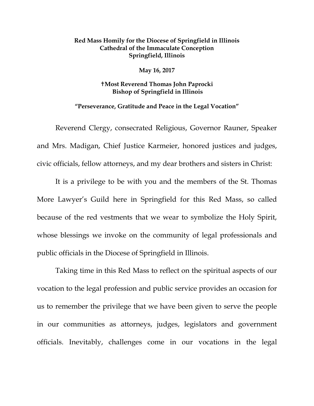## **Red Mass Homily for the Diocese of Springfield in Illinois Cathedral of the Immaculate Conception Springfield, Illinois**

**May 16, 2017**

**Most Reverend Thomas John Paprocki Bishop of Springfield in Illinois**

## **"Perseverance, Gratitude and Peace in the Legal Vocation"**

Reverend Clergy, consecrated Religious, Governor Rauner, Speaker and Mrs. Madigan, Chief Justice Karmeier, honored justices and judges, civic officials, fellow attorneys, and my dear brothers and sisters in Christ:

It is a privilege to be with you and the members of the St. Thomas More Lawyer's Guild here in Springfield for this Red Mass, so called because of the red vestments that we wear to symbolize the Holy Spirit, whose blessings we invoke on the community of legal professionals and public officials in the Diocese of Springfield in Illinois.

Taking time in this Red Mass to reflect on the spiritual aspects of our vocation to the legal profession and public service provides an occasion for us to remember the privilege that we have been given to serve the people in our communities as attorneys, judges, legislators and government officials. Inevitably, challenges come in our vocations in the legal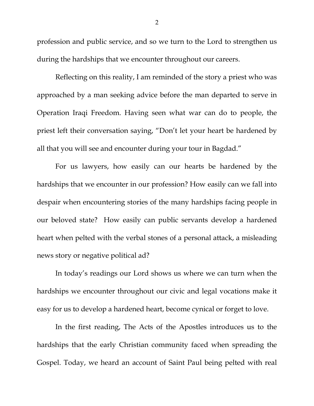profession and public service, and so we turn to the Lord to strengthen us during the hardships that we encounter throughout our careers.

Reflecting on this reality, I am reminded of the story a priest who was approached by a man seeking advice before the man departed to serve in Operation Iraqi Freedom. Having seen what war can do to people, the priest left their conversation saying, "Don't let your heart be hardened by all that you will see and encounter during your tour in Bagdad."

For us lawyers, how easily can our hearts be hardened by the hardships that we encounter in our profession? How easily can we fall into despair when encountering stories of the many hardships facing people in our beloved state? How easily can public servants develop a hardened heart when pelted with the verbal stones of a personal attack, a misleading news story or negative political ad?

In today's readings our Lord shows us where we can turn when the hardships we encounter throughout our civic and legal vocations make it easy for us to develop a hardened heart, become cynical or forget to love.

In the first reading, The Acts of the Apostles introduces us to the hardships that the early Christian community faced when spreading the Gospel. Today, we heard an account of Saint Paul being pelted with real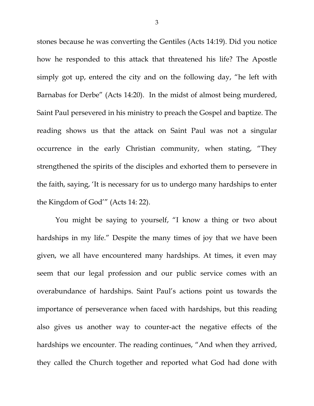stones because he was converting the Gentiles (Acts 14:19). Did you notice how he responded to this attack that threatened his life? The Apostle simply got up, entered the city and on the following day, "he left with Barnabas for Derbe" (Acts 14:20). In the midst of almost being murdered, Saint Paul persevered in his ministry to preach the Gospel and baptize. The reading shows us that the attack on Saint Paul was not a singular occurrence in the early Christian community, when stating, "They strengthened the spirits of the disciples and exhorted them to persevere in the faith, saying, 'It is necessary for us to undergo many hardships to enter the Kingdom of God'" (Acts 14: 22).

You might be saying to yourself, "I know a thing or two about hardships in my life." Despite the many times of joy that we have been given, we all have encountered many hardships. At times, it even may seem that our legal profession and our public service comes with an overabundance of hardships. Saint Paul's actions point us towards the importance of perseverance when faced with hardships, but this reading also gives us another way to counter-act the negative effects of the hardships we encounter. The reading continues, "And when they arrived, they called the Church together and reported what God had done with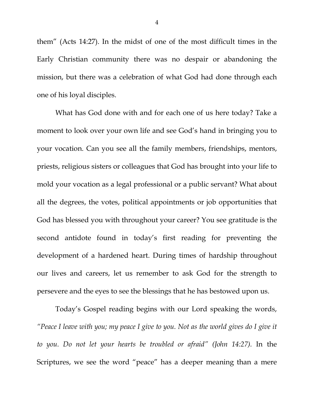them" (Acts 14:27). In the midst of one of the most difficult times in the Early Christian community there was no despair or abandoning the mission, but there was a celebration of what God had done through each one of his loyal disciples.

What has God done with and for each one of us here today? Take a moment to look over your own life and see God's hand in bringing you to your vocation. Can you see all the family members, friendships, mentors, priests, religious sisters or colleagues that God has brought into your life to mold your vocation as a legal professional or a public servant? What about all the degrees, the votes, political appointments or job opportunities that God has blessed you with throughout your career? You see gratitude is the second antidote found in today's first reading for preventing the development of a hardened heart. During times of hardship throughout our lives and careers, let us remember to ask God for the strength to persevere and the eyes to see the blessings that he has bestowed upon us.

Today's Gospel reading begins with our Lord speaking the words, *"Peace I leave with you; my peace I give to you. Not as the world gives do I give it to you. Do not let your hearts be troubled or afraid" (John 14:27).* In the Scriptures, we see the word "peace" has a deeper meaning than a mere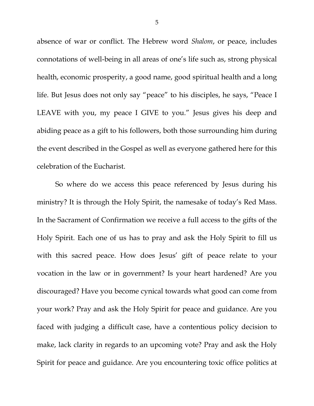absence of war or conflict. The Hebrew word *Shalom*, or peace, includes connotations of well-being in all areas of one's life such as, strong physical health, economic prosperity, a good name, good spiritual health and a long life. But Jesus does not only say "peace" to his disciples, he says, "Peace I LEAVE with you, my peace I GIVE to you." Jesus gives his deep and abiding peace as a gift to his followers, both those surrounding him during the event described in the Gospel as well as everyone gathered here for this celebration of the Eucharist.

So where do we access this peace referenced by Jesus during his ministry? It is through the Holy Spirit, the namesake of today's Red Mass. In the Sacrament of Confirmation we receive a full access to the gifts of the Holy Spirit. Each one of us has to pray and ask the Holy Spirit to fill us with this sacred peace. How does Jesus' gift of peace relate to your vocation in the law or in government? Is your heart hardened? Are you discouraged? Have you become cynical towards what good can come from your work? Pray and ask the Holy Spirit for peace and guidance. Are you faced with judging a difficult case, have a contentious policy decision to make, lack clarity in regards to an upcoming vote? Pray and ask the Holy Spirit for peace and guidance. Are you encountering toxic office politics at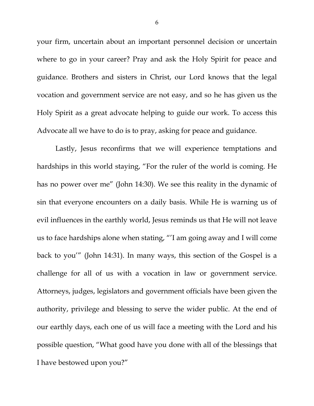your firm, uncertain about an important personnel decision or uncertain where to go in your career? Pray and ask the Holy Spirit for peace and guidance. Brothers and sisters in Christ, our Lord knows that the legal vocation and government service are not easy, and so he has given us the Holy Spirit as a great advocate helping to guide our work. To access this Advocate all we have to do is to pray, asking for peace and guidance.

Lastly, Jesus reconfirms that we will experience temptations and hardships in this world staying, "For the ruler of the world is coming. He has no power over me" (John 14:30). We see this reality in the dynamic of sin that everyone encounters on a daily basis. While He is warning us of evil influences in the earthly world, Jesus reminds us that He will not leave us to face hardships alone when stating, "'I am going away and I will come back to you'" (John 14:31). In many ways, this section of the Gospel is a challenge for all of us with a vocation in law or government service. Attorneys, judges, legislators and government officials have been given the authority, privilege and blessing to serve the wider public. At the end of our earthly days, each one of us will face a meeting with the Lord and his possible question, "What good have you done with all of the blessings that I have bestowed upon you?"